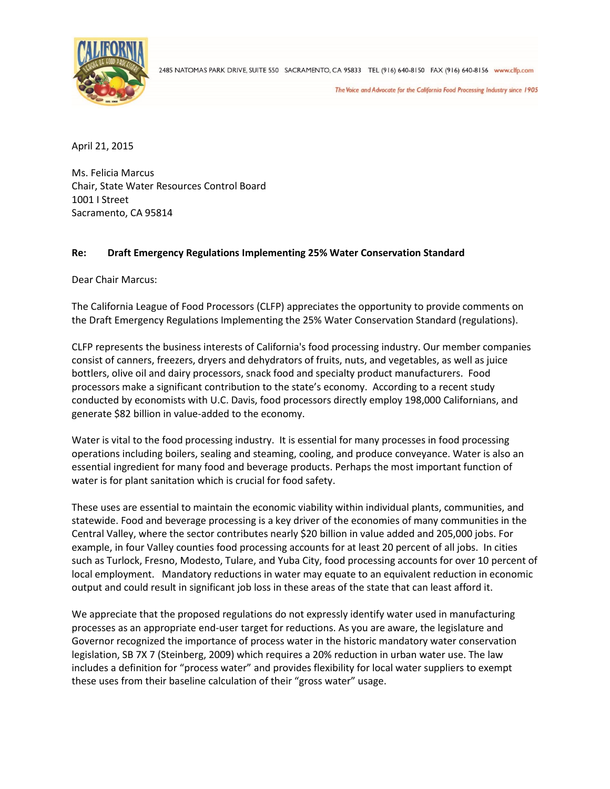

2485 NATOMAS PARK DRIVE, SUITE 550 SACRAMENTO, CA 95833 TEL (916) 640-8150 FAX (916) 640-8156 www.clfp.com

The Voice and Advocate for the California Food Processing Industry since 1905

April 21, 2015

Ms. Felicia Marcus Chair, State Water Resources Control Board 1001 I Street Sacramento, CA 95814

## **Re: Draft Emergency Regulations Implementing 25% Water Conservation Standard**

Dear Chair Marcus:

The California League of Food Processors (CLFP) appreciates the opportunity to provide comments on the Draft Emergency Regulations Implementing the 25% Water Conservation Standard (regulations).

CLFP represents the business interests of California's food processing industry. Our member companies consist of canners, freezers, dryers and dehydrators of fruits, nuts, and vegetables, as well as juice bottlers, olive oil and dairy processors, snack food and specialty product manufacturers. Food processors make a significant contribution to the state's economy. According to a recent study conducted by economists with U.C. Davis, food processors directly employ 198,000 Californians, and generate \$82 billion in value-added to the economy.

Water is vital to the food processing industry. It is essential for many processes in food processing operations including boilers, sealing and steaming, cooling, and produce conveyance. Water is also an essential ingredient for many food and beverage products. Perhaps the most important function of water is for plant sanitation which is crucial for food safety.

These uses are essential to maintain the economic viability within individual plants, communities, and statewide. Food and beverage processing is a key driver of the economies of many communities in the Central Valley, where the sector contributes nearly \$20 billion in value added and 205,000 jobs. For example, in four Valley counties food processing accounts for at least 20 percent of all jobs. In cities such as Turlock, Fresno, Modesto, Tulare, and Yuba City, food processing accounts for over 10 percent of local employment. Mandatory reductions in water may equate to an equivalent reduction in economic output and could result in significant job loss in these areas of the state that can least afford it.

We appreciate that the proposed regulations do not expressly identify water used in manufacturing processes as an appropriate end-user target for reductions. As you are aware, the legislature and Governor recognized the importance of process water in the historic mandatory water conservation legislation, SB 7X 7 (Steinberg, 2009) which requires a 20% reduction in urban water use. The law includes a definition for "process water" and provides flexibility for local water suppliers to exempt these uses from their baseline calculation of their "gross water" usage.